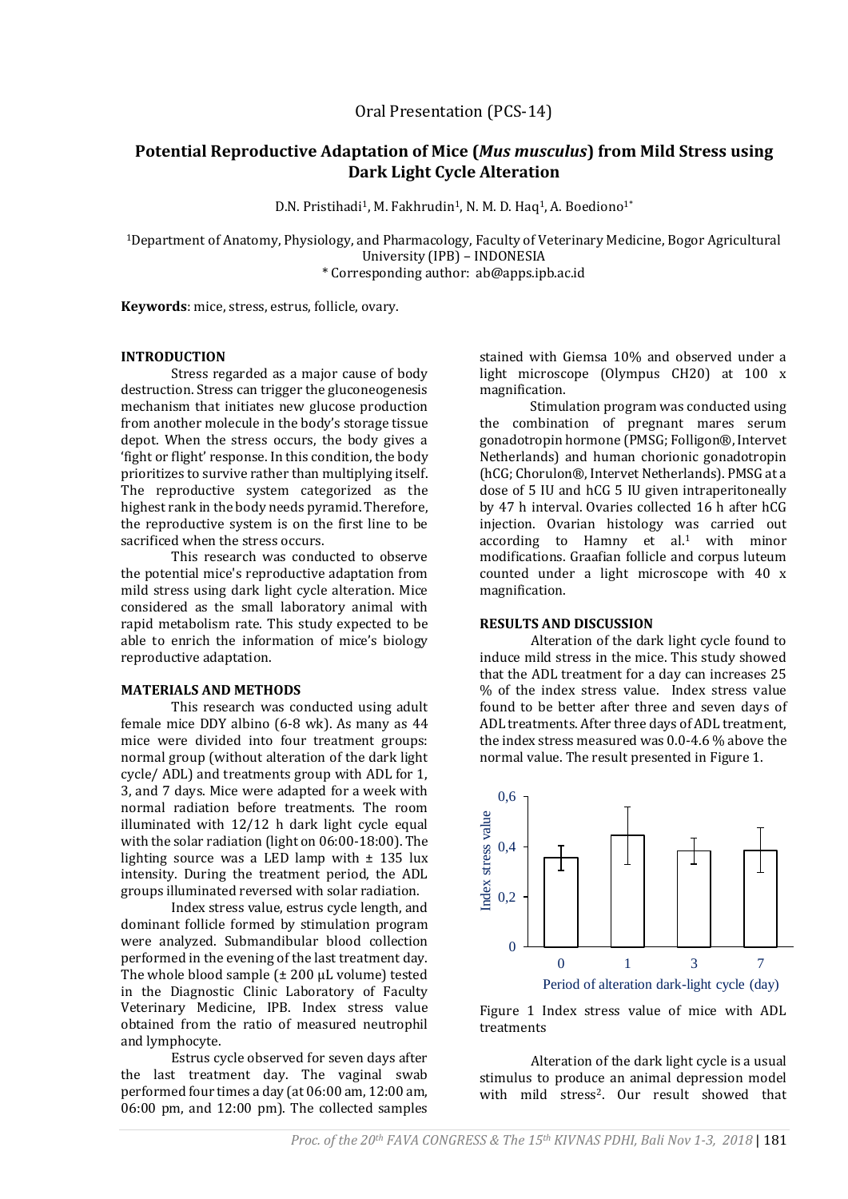# **Potential Reproductive Adaptation of Mice (***Mus musculus***) from Mild Stress using Dark Light Cycle Alteration**

D.N. Pristihadi<sup>1</sup>, M. Fakhrudin<sup>1</sup>, N. M. D. Haq<sup>1</sup>, A. Boediono<sup>1\*</sup>

<sup>1</sup>Department of Anatomy, Physiology, and Pharmacology, Faculty of Veterinary Medicine, Bogor Agricultural University (IPB) – INDONESIA \* Corresponding author: ab@apps.ipb.ac.id

**Keywords**: mice, stress, estrus, follicle, ovary.

## **INTRODUCTION**

Stress regarded as a major cause of body destruction. Stress can trigger the gluconeogenesis mechanism that initiates new glucose production from another molecule in the body's storage tissue depot. When the stress occurs, the body gives a 'fight or flight' response. In this condition, the body prioritizes to survive rather than multiplying itself. The reproductive system categorized as the highest rank in the body needs pyramid. Therefore, the reproductive system is on the first line to be sacrificed when the stress occurs.

This research was conducted to observe the potential mice's reproductive adaptation from mild stress using dark light cycle alteration. Mice considered as the small laboratory animal with rapid metabolism rate. This study expected to be able to enrich the information of mice's biology reproductive adaptation.

#### **MATERIALS AND METHODS**

This research was conducted using adult female mice DDY albino (6-8 wk). As many as 44 mice were divided into four treatment groups: normal group (without alteration of the dark light cycle/ ADL) and treatments group with ADL for 1, 3, and 7 days. Mice were adapted for a week with normal radiation before treatments. The room illuminated with 12/12 h dark light cycle equal with the solar radiation (light on 06:00-18:00). The lighting source was a LED lamp with  $\pm$  135 lux intensity. During the treatment period, the ADL groups illuminated reversed with solar radiation.

Index stress value, estrus cycle length, and dominant follicle formed by stimulation program were analyzed. Submandibular blood collection performed in the evening of the last treatment day. The whole blood sample  $f$   $\pm$  200  $\mu$ L volume) tested in the Diagnostic Clinic Laboratory of Faculty Veterinary Medicine, IPB. Index stress value obtained from the ratio of measured neutrophil and lymphocyte.

Estrus cycle observed for seven days after the last treatment day. The vaginal swab performed four times a day (at 06:00 am, 12:00 am, 06:00 pm, and 12:00 pm). The collected samples

stained with Giemsa 10% and observed under a light microscope (Olympus CH20) at 100 x magnification.

Stimulation program was conducted using the combination of pregnant mares serum gonadotropin hormone (PMSG; Folligon®, Intervet Netherlands) and human chorionic gonadotropin (hCG; Chorulon®, Intervet Netherlands). PMSG at a dose of 5 IU and hCG 5 IU given intraperitoneally by 47 h interval. Ovaries collected 16 h after hCG injection. Ovarian histology was carried out according to Hamny et al.<sup>1</sup> with minor modifications. Graafian follicle and corpus luteum counted under a light microscope with 40 x magnification.

## **RESULTS AND DISCUSSION**

Alteration of the dark light cycle found to induce mild stress in the mice. This study showed that the ADL treatment for a day can increases 25 % of the index stress value. Index stress value found to be better after three and seven days of ADL treatments. After three days of ADL treatment, the index stress measured was 0.0-4.6 % above the normal value. The result presented in Figure 1.





Alteration of the dark light cycle is a usual stimulus to produce an animal depression model with mild stress<sup>2</sup>. Our result showed that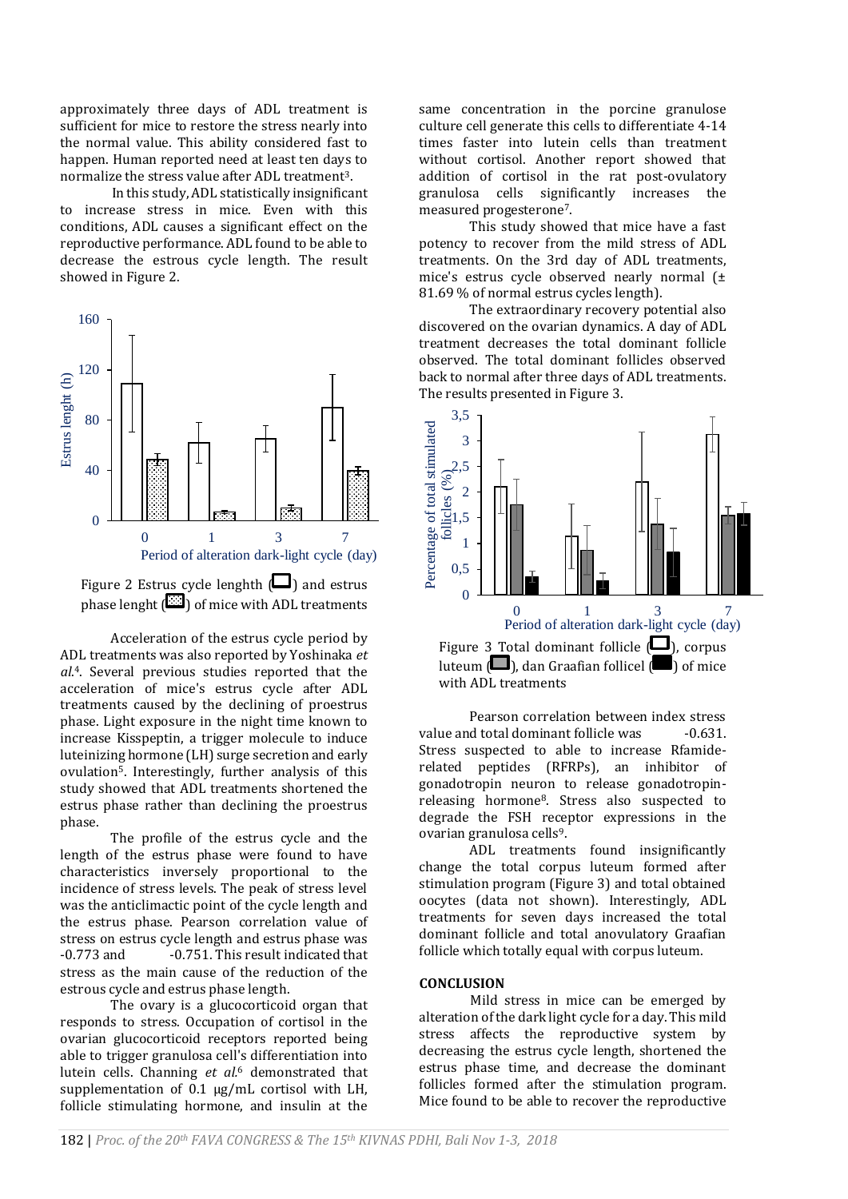approximately three days of ADL treatment is sufficient for mice to restore the stress nearly into the normal value. This ability considered fast to happen. Human reported need at least ten days to normalize the stress value after ADL treatment<sup>3</sup>.

In this study, ADL statistically insignificant to increase stress in mice. Even with this conditions, ADL causes a significant effect on the reproductive performance. ADL found to be able to decrease the estrous cycle length. The result showed in Figure 2.



Figure 2 Estrus cycle lenghth  $\Box$ ) and estrus phase lenght  $\left( \frac{\partial u}{\partial y} \right)$  of mice with ADL treatments

Acceleration of the estrus cycle period by ADL treatments was also reported by Yoshinaka *et al*. <sup>4</sup>. Several previous studies reported that the acceleration of mice's estrus cycle after ADL treatments caused by the declining of proestrus phase. Light exposure in the night time known to increase Kisspeptin, a trigger molecule to induce luteinizing hormone (LH) surge secretion and early ovulation5. Interestingly, further analysis of this study showed that ADL treatments shortened the estrus phase rather than declining the proestrus phase.

The profile of the estrus cycle and the length of the estrus phase were found to have characteristics inversely proportional to the incidence of stress levels. The peak of stress level was the anticlimactic point of the cycle length and the estrus phase. Pearson correlation value of stress on estrus cycle length and estrus phase was -0.773 and -0.751. This result indicated that stress as the main cause of the reduction of the estrous cycle and estrus phase length.

The ovary is a glucocorticoid organ that responds to stress. Occupation of cortisol in the ovarian glucocorticoid receptors reported being able to trigger granulosa cell's differentiation into lutein cells. Channing *et al.*<sup>6</sup> demonstrated that supplementation of  $0.1 \mu g/mL$  cortisol with LH, follicle stimulating hormone, and insulin at the

same concentration in the porcine granulose culture cell generate this cells to differentiate 4-14 times faster into lutein cells than treatment without cortisol. Another report showed that addition of cortisol in the rat post-ovulatory granulosa cells significantly increases the measured progesterone7.

This study showed that mice have a fast potency to recover from the mild stress of ADL treatments. On the 3rd day of ADL treatments, mice's estrus cycle observed nearly normal (± 81.69 % of normal estrus cycles length).

The extraordinary recovery potential also discovered on the ovarian dynamics. A day of ADL treatment decreases the total dominant follicle observed. The total dominant follicles observed back to normal after three days of ADL treatments. The results presented in Figure 3.



Pearson correlation between index stress value and total dominant follicle was -0.631. Stress suspected to able to increase Rfamiderelated peptides (RFRPs), an inhibitor of gonadotropin neuron to release gonadotropinreleasing hormone8. Stress also suspected to degrade the FSH receptor expressions in the ovarian granulosa cells9.

ADL treatments found insignificantly change the total corpus luteum formed after stimulation program (Figure 3) and total obtained oocytes (data not shown). Interestingly, ADL treatments for seven days increased the total dominant follicle and total anovulatory Graafian follicle which totally equal with corpus luteum.

#### **CONCLUSION**

Mild stress in mice can be emerged by alteration of the dark light cycle for a day. This mild stress affects the reproductive system by decreasing the estrus cycle length, shortened the estrus phase time, and decrease the dominant follicles formed after the stimulation program. Mice found to be able to recover the reproductive